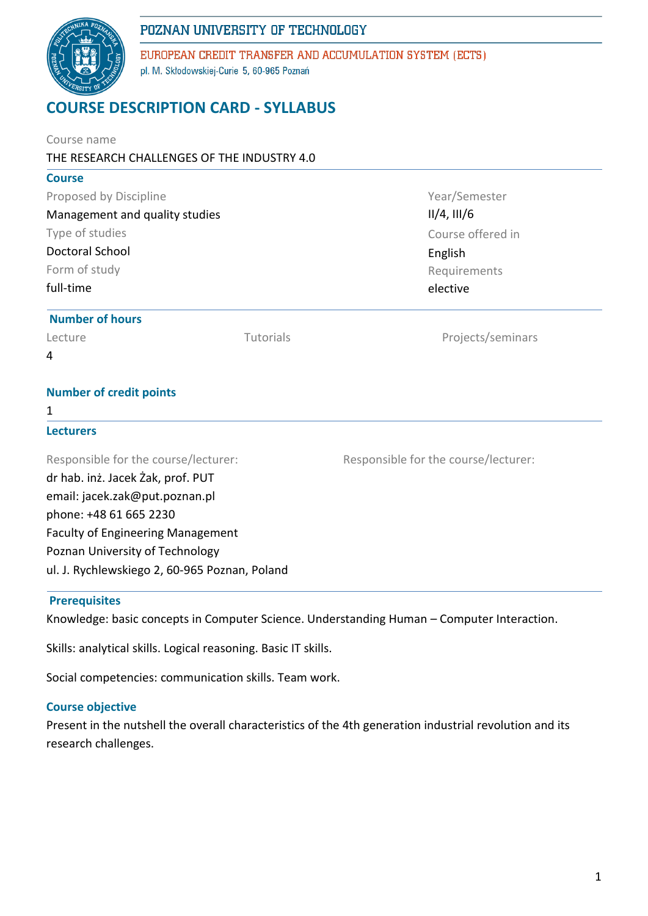## POZNAN UNIVERSITY OF TECHNOLOGY



EUROPEAN CREDIT TRANSFER AND ACCUMULATION SYSTEM (ECTS) pl. M. Skłodowskiej-Curie 5, 60-965 Poznań

# **COURSE DESCRIPTION CARD - SYLLABUS**

| Course name<br>THE RESEARCH CHALLENGES OF THE INDUSTRY 4.0 |           |                                      |  |  |  |
|------------------------------------------------------------|-----------|--------------------------------------|--|--|--|
| <b>Course</b>                                              |           |                                      |  |  |  |
| Proposed by Discipline                                     |           | Year/Semester                        |  |  |  |
| Management and quality studies                             |           | $II/4$ , $III/6$                     |  |  |  |
| Type of studies                                            |           | Course offered in                    |  |  |  |
| <b>Doctoral School</b>                                     |           | English                              |  |  |  |
| Form of study<br>full-time                                 |           | Requirements                         |  |  |  |
|                                                            |           | elective                             |  |  |  |
| <b>Number of hours</b>                                     |           |                                      |  |  |  |
| Lecture                                                    | Tutorials | Projects/seminars                    |  |  |  |
| 4                                                          |           |                                      |  |  |  |
| <b>Number of credit points</b>                             |           |                                      |  |  |  |
| 1                                                          |           |                                      |  |  |  |
| <b>Lecturers</b>                                           |           |                                      |  |  |  |
| Responsible for the course/lecturer:                       |           | Responsible for the course/lecturer: |  |  |  |
| dr hab. inż. Jacek Żak, prof. PUT                          |           |                                      |  |  |  |
| email: jacek.zak@put.poznan.pl                             |           |                                      |  |  |  |
| phone: +48 61 665 2230                                     |           |                                      |  |  |  |
| Faculty of Engineering Management                          |           |                                      |  |  |  |
| Poznan University of Technology                            |           |                                      |  |  |  |
| ul. J. Rychlewskiego 2, 60-965 Poznan, Poland              |           |                                      |  |  |  |
|                                                            |           |                                      |  |  |  |

#### **Prerequisites**

Knowledge: basic concepts in Computer Science. Understanding Human – Computer Interaction.

Skills: analytical skills. Logical reasoning. Basic IT skills.

Social competencies: communication skills. Team work.

#### **Course objective**

Present in the nutshell the overall characteristics of the 4th generation industrial revolution and its research challenges.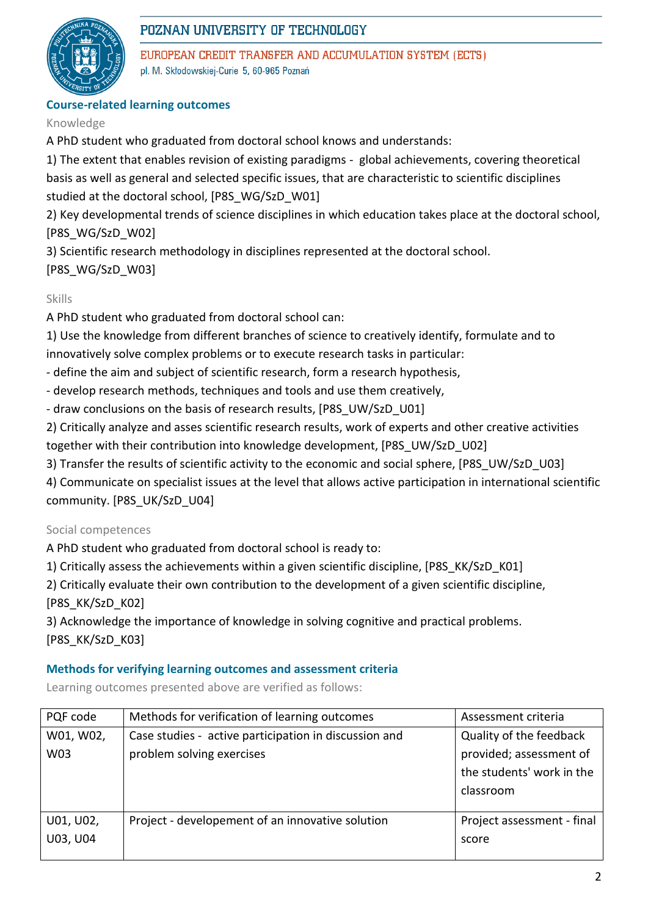

## POZNAN UNIVERSITY OF TECHNOLOGY

EUROPEAN CREDIT TRANSFER AND ACCUMULATION SYSTEM (ECTS) pl. M. Skłodowskiej-Curie 5, 60-965 Poznań

### **Course-related learning outcomes**

#### Knowledge

A PhD student who graduated from doctoral school knows and understands:

1) The extent that enables revision of existing paradigms - global achievements, covering theoretical basis as well as general and selected specific issues, that are characteristic to scientific disciplines studied at the doctoral school, [P8S\_WG/SzD\_W01]

2) Key developmental trends of science disciplines in which education takes place at the doctoral school, [P8S\_WG/SzD\_W02]

3) Scientific research methodology in disciplines represented at the doctoral school.

[P8S\_WG/SzD\_W03]

### Skills

A PhD student who graduated from doctoral school can:

1) Use the knowledge from different branches of science to creatively identify, formulate and to innovatively solve complex problems or to execute research tasks in particular:

- define the aim and subject of scientific research, form a research hypothesis,
- develop research methods, techniques and tools and use them creatively,
- draw conclusions on the basis of research results, [P8S\_UW/SzD\_U01]

2) Critically analyze and asses scientific research results, work of experts and other creative activities together with their contribution into knowledge development, [P8S\_UW/SzD\_U02]

3) Transfer the results of scientific activity to the economic and social sphere, [P8S\_UW/SzD\_U03]

4) Communicate on specialist issues at the level that allows active participation in international scientific community. [P8S\_UK/SzD\_U04]

#### Social competences

A PhD student who graduated from doctoral school is ready to:

- 1) Critically assess the achievements within a given scientific discipline, [P8S\_KK/SzD\_K01]
- 2) Critically evaluate their own contribution to the development of a given scientific discipline, [P8S\_KK/SzD\_K02]

3) Acknowledge the importance of knowledge in solving cognitive and practical problems. [P8S\_KK/SzD\_K03]

#### **Methods for verifying learning outcomes and assessment criteria**

Learning outcomes presented above are verified as follows:

| PQF code  | Methods for verification of learning outcomes         | Assessment criteria        |  |
|-----------|-------------------------------------------------------|----------------------------|--|
| W01, W02, | Case studies - active participation in discussion and | Quality of the feedback    |  |
| W03       | problem solving exercises                             | provided; assessment of    |  |
|           |                                                       | the students' work in the  |  |
|           |                                                       | classroom                  |  |
|           |                                                       |                            |  |
| U01, U02, | Project - developement of an innovative solution      | Project assessment - final |  |
| U03, U04  |                                                       | score                      |  |
|           |                                                       |                            |  |